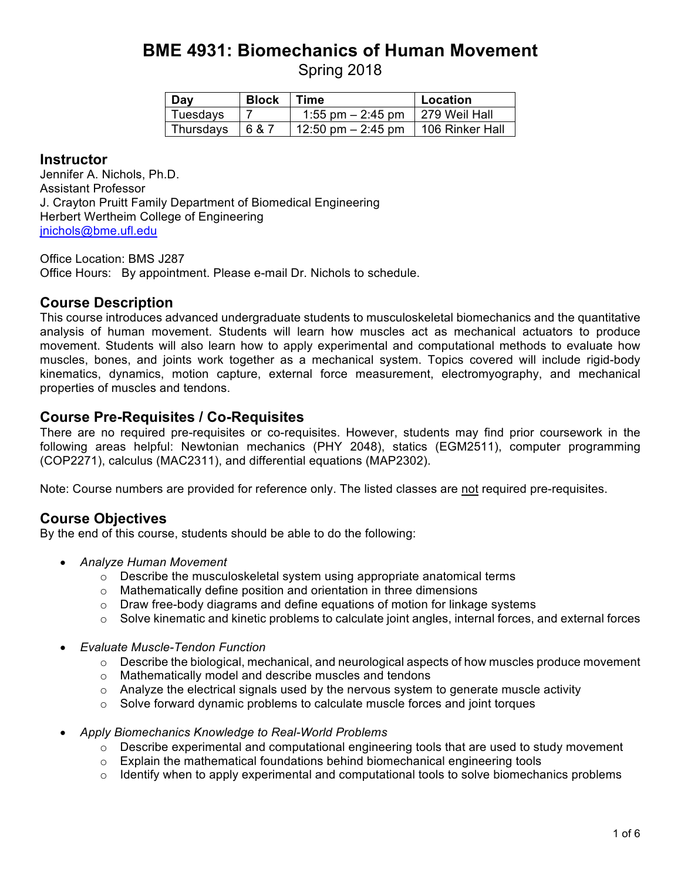# **BME 4931: Biomechanics of Human Movement**

Spring 2018

| Day       | <b>Block</b> | Time                                   | Location |
|-----------|--------------|----------------------------------------|----------|
| Tuesdays  |              | 1:55 pm $-$ 2:45 pm   279 Weil Hall    |          |
| Thursdays | 687          | 12:50 pm $-$ 2:45 pm   106 Rinker Hall |          |

#### **Instructor**

Jennifer A. Nichols, Ph.D. Assistant Professor J. Crayton Pruitt Family Department of Biomedical Engineering Herbert Wertheim College of Engineering jnichols@bme.ufl.edu

Office Location: BMS J287 Office Hours: By appointment. Please e-mail Dr. Nichols to schedule.

### **Course Description**

This course introduces advanced undergraduate students to musculoskeletal biomechanics and the quantitative analysis of human movement. Students will learn how muscles act as mechanical actuators to produce movement. Students will also learn how to apply experimental and computational methods to evaluate how muscles, bones, and joints work together as a mechanical system. Topics covered will include rigid-body kinematics, dynamics, motion capture, external force measurement, electromyography, and mechanical properties of muscles and tendons.

### **Course Pre-Requisites / Co-Requisites**

There are no required pre-requisites or co-requisites. However, students may find prior coursework in the following areas helpful: Newtonian mechanics (PHY 2048), statics (EGM2511), computer programming (COP2271), calculus (MAC2311), and differential equations (MAP2302).

Note: Course numbers are provided for reference only. The listed classes are not required pre-requisites.

## **Course Objectives**

By the end of this course, students should be able to do the following:

- *Analyze Human Movement*
	- $\circ$  Describe the musculoskeletal system using appropriate anatomical terms
	- o Mathematically define position and orientation in three dimensions
	- $\circ$  Draw free-body diagrams and define equations of motion for linkage systems
	- $\circ$  Solve kinematic and kinetic problems to calculate joint angles, internal forces, and external forces
- *Evaluate Muscle-Tendon Function*
	- $\circ$  Describe the biological, mechanical, and neurological aspects of how muscles produce movement
	- o Mathematically model and describe muscles and tendons
	- $\circ$  Analyze the electrical signals used by the nervous system to generate muscle activity
	- $\circ$  Solve forward dynamic problems to calculate muscle forces and joint torques
- *Apply Biomechanics Knowledge to Real-World Problems*
	- $\circ$  Describe experimental and computational engineering tools that are used to study movement
	- $\circ$  Explain the mathematical foundations behind biomechanical engineering tools
	- $\circ$  Identify when to apply experimental and computational tools to solve biomechanics problems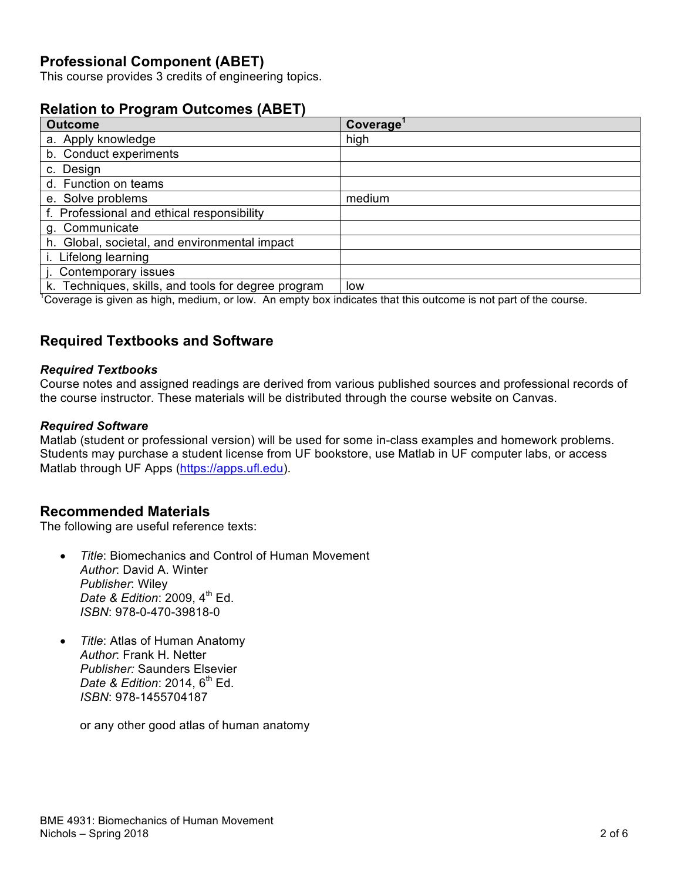### **Professional Component (ABET)**

This course provides 3 credits of engineering topics.

#### **Relation to Program Outcomes (ABET)**

| <b>Outcome</b>                                      | Coverage |
|-----------------------------------------------------|----------|
| a. Apply knowledge                                  | high     |
| b. Conduct experiments                              |          |
| c. Design                                           |          |
| d. Function on teams                                |          |
| e. Solve problems                                   | medium   |
| f. Professional and ethical responsibility          |          |
| g. Communicate                                      |          |
| h. Global, societal, and environmental impact       |          |
| i. Lifelong learning                                |          |
| j. Contemporary issues                              |          |
| k. Techniques, skills, and tools for degree program | low      |

<sup>1</sup>Coverage is given as high, medium, or low. An empty box indicates that this outcome is not part of the course.

#### **Required Textbooks and Software**

#### *Required Textbooks*

Course notes and assigned readings are derived from various published sources and professional records of the course instructor. These materials will be distributed through the course website on Canvas.

#### *Required Software*

Matlab (student or professional version) will be used for some in-class examples and homework problems. Students may purchase a student license from UF bookstore, use Matlab in UF computer labs, or access Matlab through UF Apps (https://apps.ufl.edu).

#### **Recommended Materials**

The following are useful reference texts:

- *Title*: Biomechanics and Control of Human Movement *Author*: David A. Winter *Publisher*: Wiley *Date & Edition: 2009, 4<sup>th</sup> Ed. ISBN*: 978-0-470-39818-0
- *Title*: Atlas of Human Anatomy *Author*: Frank H. Netter *Publisher:* Saunders Elsevier *Date & Edition: 2014, 6<sup>th</sup> Ed. ISBN*: 978-1455704187

or any other good atlas of human anatomy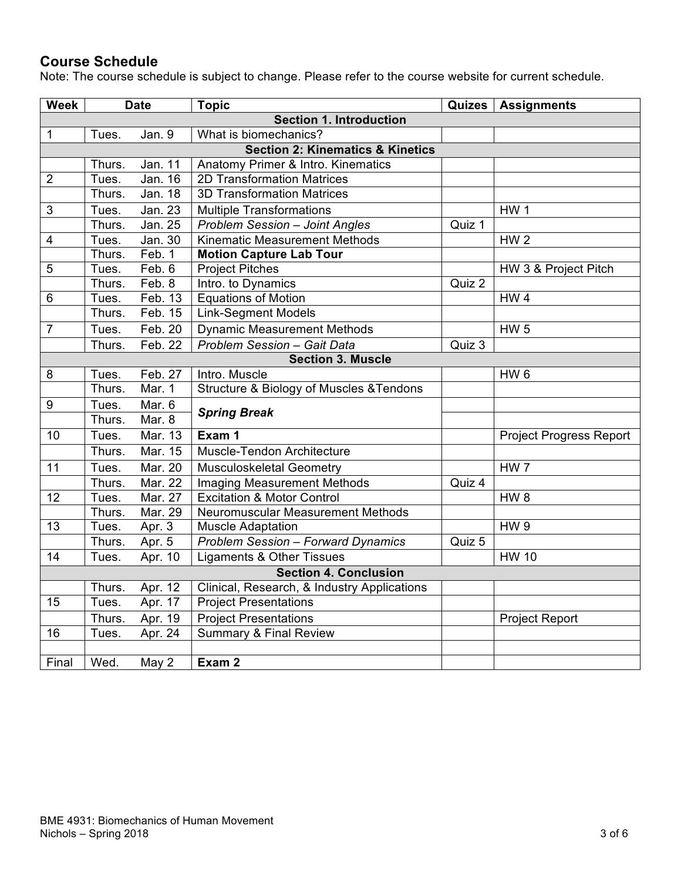# **Course Schedule**

Note: The course schedule is subject to change. Please refer to the course website for current schedule.

| <b>Week</b>                                 | <b>Date</b>                    |                    | <b>Topic</b>                                |        | Quizes   Assignments           |  |  |  |  |  |  |
|---------------------------------------------|--------------------------------|--------------------|---------------------------------------------|--------|--------------------------------|--|--|--|--|--|--|
|                                             | <b>Section 1. Introduction</b> |                    |                                             |        |                                |  |  |  |  |  |  |
| $\mathbf{1}$                                | Tues.                          | Jan. 9             | What is biomechanics?                       |        |                                |  |  |  |  |  |  |
| <b>Section 2: Kinematics &amp; Kinetics</b> |                                |                    |                                             |        |                                |  |  |  |  |  |  |
|                                             | Thurs.                         | Jan. 11            | Anatomy Primer & Intro. Kinematics          |        |                                |  |  |  |  |  |  |
| $\overline{2}$                              | Tues.                          | Jan. 16            | 2D Transformation Matrices                  |        |                                |  |  |  |  |  |  |
|                                             | Thurs.                         | Jan. 18            | <b>3D Transformation Matrices</b>           |        |                                |  |  |  |  |  |  |
| $\sqrt{3}$                                  | Tues.                          | <b>Jan. 23</b>     | <b>Multiple Transformations</b>             |        | HW <sub>1</sub>                |  |  |  |  |  |  |
|                                             | Thurs.                         | Jan. 25            | <b>Problem Session - Joint Angles</b>       | Quiz 1 |                                |  |  |  |  |  |  |
| $\overline{4}$                              | Tues.                          | Jan.30             | Kinematic Measurement Methods               |        | HW <sub>2</sub>                |  |  |  |  |  |  |
|                                             | Thurs.                         | Feb. 1             | <b>Motion Capture Lab Tour</b>              |        |                                |  |  |  |  |  |  |
| 5                                           | Tues.                          | $\overline{Fe}b.6$ | <b>Project Pitches</b>                      |        | HW 3 & Project Pitch           |  |  |  |  |  |  |
|                                             | Thurs.                         | Feb. 8             | Intro. to Dynamics                          | Quiz 2 |                                |  |  |  |  |  |  |
| 6                                           | Tues.                          | Feb. 13            | <b>Equations of Motion</b>                  |        | HW <sub>4</sub>                |  |  |  |  |  |  |
|                                             | Thurs.                         | Feb. 15            | Link-Segment Models                         |        |                                |  |  |  |  |  |  |
| $\overline{7}$                              | Tues.                          | Feb. 20            | <b>Dynamic Measurement Methods</b>          |        | <b>HW 5</b>                    |  |  |  |  |  |  |
|                                             | Thurs.                         | Feb. 22            | <b>Problem Session - Gait Data</b>          | Quiz 3 |                                |  |  |  |  |  |  |
|                                             | <b>Section 3. Muscle</b>       |                    |                                             |        |                                |  |  |  |  |  |  |
| 8                                           | Tues.                          | Feb. 27            | Intro. Muscle                               |        | HW <sub>6</sub>                |  |  |  |  |  |  |
|                                             | Thurs.                         | Mar. $1$           | Structure & Biology of Muscles & Tendons    |        |                                |  |  |  |  |  |  |
| $\boldsymbol{9}$                            | Tues.                          | Mar. 6             | <b>Spring Break</b>                         |        |                                |  |  |  |  |  |  |
|                                             | Thurs.                         | Mar. 8             |                                             |        |                                |  |  |  |  |  |  |
| 10                                          | Tues.                          | Mar. 13            | Exam 1                                      |        | <b>Project Progress Report</b> |  |  |  |  |  |  |
|                                             | Thurs.                         | Mar. 15            | Muscle-Tendon Architecture                  |        |                                |  |  |  |  |  |  |
| 11                                          | Tues.                          | Mar. 20            | Musculoskeletal Geometry                    |        | HW <sub>7</sub>                |  |  |  |  |  |  |
|                                             | Thurs.                         | Mar. 22            | <b>Imaging Measurement Methods</b>          | Quiz 4 |                                |  |  |  |  |  |  |
| 12                                          | Tues.                          | Mar. 27            | <b>Excitation &amp; Motor Control</b>       |        | HW <sub>8</sub>                |  |  |  |  |  |  |
|                                             | Thurs.                         | Mar. 29            | Neuromuscular Measurement Methods           |        |                                |  |  |  |  |  |  |
| 13                                          | Tues.                          | Apr. 3             | <b>Muscle Adaptation</b>                    |        | HW <sub>9</sub>                |  |  |  |  |  |  |
|                                             | Thurs.                         | Apr. 5             | <b>Problem Session - Forward Dynamics</b>   | Quiz 5 |                                |  |  |  |  |  |  |
| 14                                          | Tues.                          | Apr. 10            | Ligaments & Other Tissues                   |        | <b>HW 10</b>                   |  |  |  |  |  |  |
|                                             |                                |                    | <b>Section 4. Conclusion</b>                |        |                                |  |  |  |  |  |  |
|                                             | Thurs.                         | Apr. 12            | Clinical, Research, & Industry Applications |        |                                |  |  |  |  |  |  |
| 15                                          | Tues.                          | Apr. 17            | <b>Project Presentations</b>                |        |                                |  |  |  |  |  |  |
|                                             | Thurs.                         | Apr. 19            | <b>Project Presentations</b>                |        | <b>Project Report</b>          |  |  |  |  |  |  |
| 16                                          | Tues.                          | Apr. 24            | <b>Summary &amp; Final Review</b>           |        |                                |  |  |  |  |  |  |
|                                             |                                |                    |                                             |        |                                |  |  |  |  |  |  |
| Final                                       | Wed.                           | May 2              | Exam 2                                      |        |                                |  |  |  |  |  |  |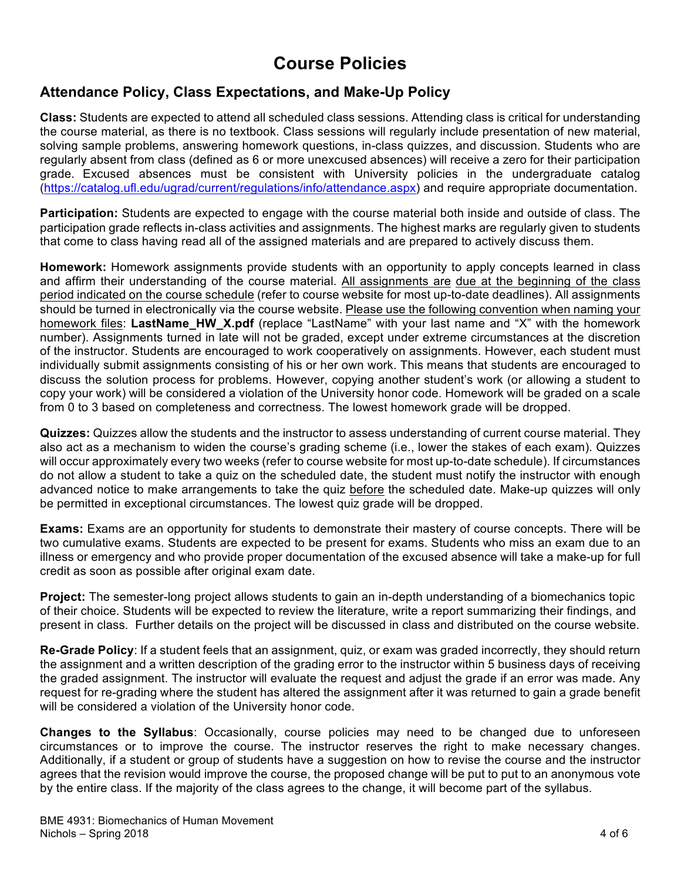# **Course Policies**

### **Attendance Policy, Class Expectations, and Make-Up Policy**

**Class:** Students are expected to attend all scheduled class sessions. Attending class is critical for understanding the course material, as there is no textbook. Class sessions will regularly include presentation of new material, solving sample problems, answering homework questions, in-class quizzes, and discussion. Students who are regularly absent from class (defined as 6 or more unexcused absences) will receive a zero for their participation grade. Excused absences must be consistent with University policies in the undergraduate catalog (https://catalog.ufl.edu/ugrad/current/regulations/info/attendance.aspx) and require appropriate documentation.

**Participation:** Students are expected to engage with the course material both inside and outside of class. The participation grade reflects in-class activities and assignments. The highest marks are regularly given to students that come to class having read all of the assigned materials and are prepared to actively discuss them.

**Homework:** Homework assignments provide students with an opportunity to apply concepts learned in class and affirm their understanding of the course material. All assignments are due at the beginning of the class period indicated on the course schedule (refer to course website for most up-to-date deadlines). All assignments should be turned in electronically via the course website. Please use the following convention when naming your homework files: LastName HW X.pdf (replace "LastName" with your last name and "X" with the homework number). Assignments turned in late will not be graded, except under extreme circumstances at the discretion of the instructor. Students are encouraged to work cooperatively on assignments. However, each student must individually submit assignments consisting of his or her own work. This means that students are encouraged to discuss the solution process for problems. However, copying another student's work (or allowing a student to copy your work) will be considered a violation of the University honor code. Homework will be graded on a scale from 0 to 3 based on completeness and correctness. The lowest homework grade will be dropped.

**Quizzes:** Quizzes allow the students and the instructor to assess understanding of current course material. They also act as a mechanism to widen the course's grading scheme (i.e., lower the stakes of each exam). Quizzes will occur approximately every two weeks (refer to course website for most up-to-date schedule). If circumstances do not allow a student to take a quiz on the scheduled date, the student must notify the instructor with enough advanced notice to make arrangements to take the quiz before the scheduled date. Make-up quizzes will only be permitted in exceptional circumstances. The lowest quiz grade will be dropped.

**Exams:** Exams are an opportunity for students to demonstrate their mastery of course concepts. There will be two cumulative exams. Students are expected to be present for exams. Students who miss an exam due to an illness or emergency and who provide proper documentation of the excused absence will take a make-up for full credit as soon as possible after original exam date.

**Project:** The semester-long project allows students to gain an in-depth understanding of a biomechanics topic of their choice. Students will be expected to review the literature, write a report summarizing their findings, and present in class. Further details on the project will be discussed in class and distributed on the course website.

**Re-Grade Policy**: If a student feels that an assignment, quiz, or exam was graded incorrectly, they should return the assignment and a written description of the grading error to the instructor within 5 business days of receiving the graded assignment. The instructor will evaluate the request and adjust the grade if an error was made. Any request for re-grading where the student has altered the assignment after it was returned to gain a grade benefit will be considered a violation of the University honor code.

**Changes to the Syllabus**: Occasionally, course policies may need to be changed due to unforeseen circumstances or to improve the course. The instructor reserves the right to make necessary changes. Additionally, if a student or group of students have a suggestion on how to revise the course and the instructor agrees that the revision would improve the course, the proposed change will be put to put to an anonymous vote by the entire class. If the majority of the class agrees to the change, it will become part of the syllabus.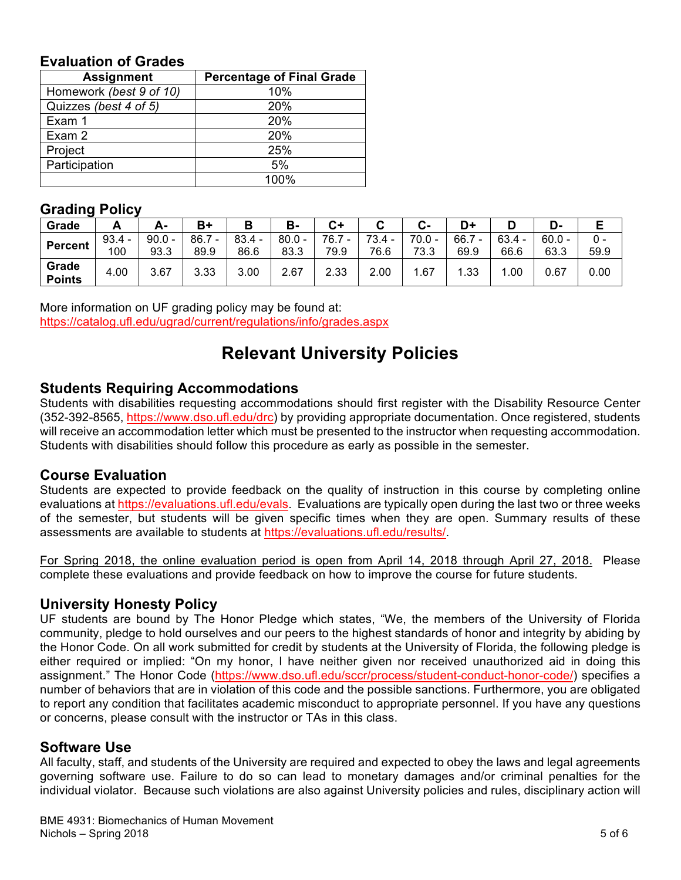#### **Evaluation of Grades**

| <b>Assignment</b>       | <b>Percentage of Final Grade</b> |
|-------------------------|----------------------------------|
| Homework (best 9 of 10) | 10%                              |
| Quizzes (best 4 of 5)   | <b>20%</b>                       |
| Exam 1                  | <b>20%</b>                       |
| Exam 2                  | 20%                              |
| Project                 | 25%                              |
| Participation           | 5%                               |
|                         | 100%                             |

#### **Grading Policy**

| --------       |          |          |      |          |          |      |          |          |                                  |          |          |      |
|----------------|----------|----------|------|----------|----------|------|----------|----------|----------------------------------|----------|----------|------|
| Grade          |          | А-       |      | в        | в-       | C+   |          | С-       | D+                               |          | D-       |      |
| <b>Percent</b> | $93.4 -$ | $90.0 -$ | 86.7 | $83.4 -$ | $80.0 -$ | 76.7 | $73.4 -$ | $70.0 -$ | 66.7<br>$\overline{\phantom{0}}$ | $63.4 -$ | $60.0 -$ | 0 -  |
|                | 100      | 93.3     | 89.9 | 86.6     | 83.3     | 79.9 | 76.6     | 73.3     | 69.9                             | 66.6     | 63.3     | 59.9 |
| Grade          | 4.00     | 3.67     | 3.33 | 3.00     | 2.67     | 2.33 | 2.00     | .67      | 1.33                             | .00      | 0.67     | 0.00 |
| <b>Points</b>  |          |          |      |          |          |      |          |          |                                  |          |          |      |

More information on UF grading policy may be found at: https://catalog.ufl.edu/ugrad/current/regulations/info/grades.aspx

# **Relevant University Policies**

#### **Students Requiring Accommodations**

Students with disabilities requesting accommodations should first register with the Disability Resource Center (352-392-8565, https://www.dso.ufl.edu/drc) by providing appropriate documentation. Once registered, students will receive an accommodation letter which must be presented to the instructor when requesting accommodation. Students with disabilities should follow this procedure as early as possible in the semester.

#### **Course Evaluation**

Students are expected to provide feedback on the quality of instruction in this course by completing online evaluations at https://evaluations.ufl.edu/evals. Evaluations are typically open during the last two or three weeks of the semester, but students will be given specific times when they are open. Summary results of these assessments are available to students at https://evaluations.ufl.edu/results/.

For Spring 2018, the online evaluation period is open from April 14, 2018 through April 27, 2018. Please complete these evaluations and provide feedback on how to improve the course for future students.

#### **University Honesty Policy**

UF students are bound by The Honor Pledge which states, "We, the members of the University of Florida community, pledge to hold ourselves and our peers to the highest standards of honor and integrity by abiding by the Honor Code. On all work submitted for credit by students at the University of Florida, the following pledge is either required or implied: "On my honor, I have neither given nor received unauthorized aid in doing this assignment." The Honor Code (https://www.dso.ufl.edu/sccr/process/student-conduct-honor-code/) specifies a number of behaviors that are in violation of this code and the possible sanctions. Furthermore, you are obligated to report any condition that facilitates academic misconduct to appropriate personnel. If you have any questions or concerns, please consult with the instructor or TAs in this class.

#### **Software Use**

All faculty, staff, and students of the University are required and expected to obey the laws and legal agreements governing software use. Failure to do so can lead to monetary damages and/or criminal penalties for the individual violator. Because such violations are also against University policies and rules, disciplinary action will

BME 4931: Biomechanics of Human Movement Nichols – Spring 2018 **5 of 6**